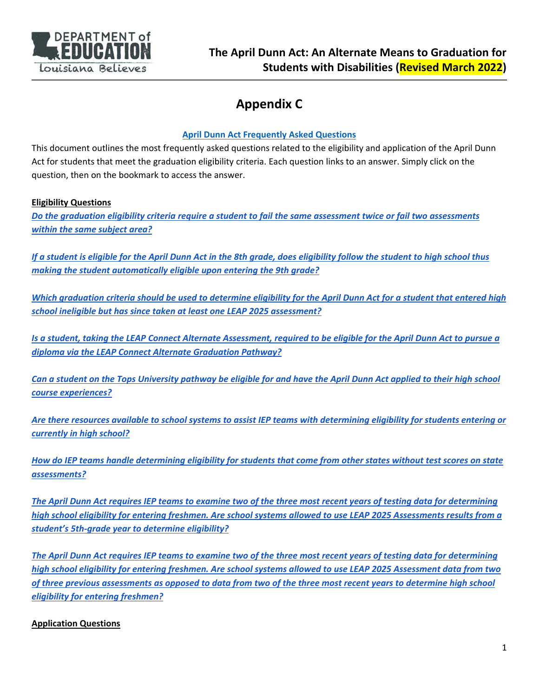

# **Appendix C**

### **April Dunn Act Frequently Asked Questions**

This document outlines the most frequently asked questions related to the eligibility and application of the April Dunn Act for students that meet the graduation eligibility criteria. Each question links to an answer. Simply click on the question, then on the bookmark to access the answer.

### **Eligibility Questions**

*Do the graduation eligibility criteria require a student to fail the same assessment twice or fail two assessments within the same subject area?* 

*If a student is eligible for the April Dunn Act in the 8th grade, does eligibility follow the student to high school thus making the student automatically eligible upon entering the 9th grade?* 

*Which graduation criteria should be used to determine eligibility for the April Dunn Act for a student that entered high school ineligible but has since taken at least one LEAP 2025 assessment?*

*Is a student, taking the LEAP Connect Alternate Assessment, required to be eligible for the April Dunn Act to pursue a diploma via the LEAP Connect Alternate Graduation Pathway?*

*Can a student on the Tops University pathway be eligible for and have the April Dunn Act applied to their high school course experiences?* 

*Are there resources available to school systems to assist IEP teams with determining eligibility for students entering or currently in high school?* 

*How do IEP teams handle determining eligibility for students that come from other states without test scores on state assessments?* 

*The April Dunn Act requires IEP teams to examine two of the three most recent years of testing data for determining high school eligibility for entering freshmen. Are school systems allowed to use LEAP 2025 Assessments results from a student's 5th‐grade year to determine eligibility?*

*The April Dunn Act requires IEP teams to examine two of the three most recent years of testing data for determining high school eligibility for entering freshmen. Are school systems allowed to use LEAP 2025 Assessment data from two of three previous assessments as opposed to data from two of the three most recent years to determine high school eligibility for entering freshmen?*

### **Application Questions**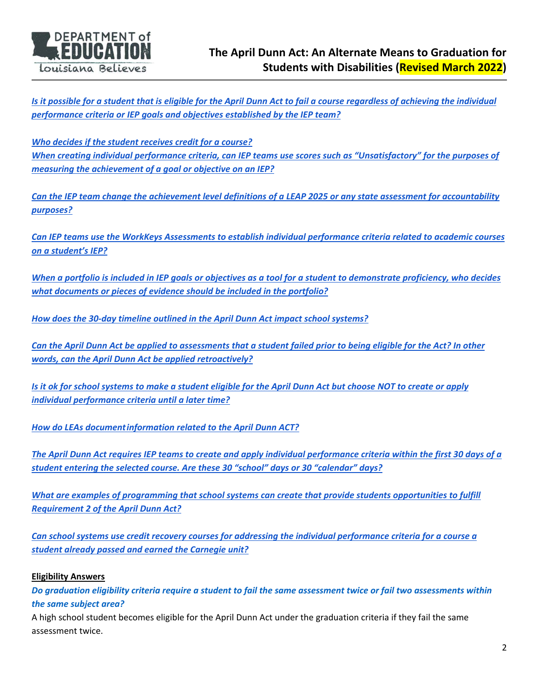

*Is it possible for a student that is eligible for the April Dunn Act to fail a course regardless of achieving the individual performance criteria or IEP goals and objectives established by the IEP team?* 

*Who decides if the student receives credit for a course? When creating individual performance criteria, can IEP teams use scores such as "Unsatisfactory" for the purposes of measuring the achievement of a goal or objective on an IEP?* 

*Can the IEP team change the achievement level definitions of a LEAP 2025 or any state assessment for accountability purposes?* 

*Can IEP teams use the WorkKeys Assessments to establish individual performance criteria related to academic courses on a student's IEP?* 

*When a portfolio is included in IEP goals or objectives as a tool for a student to demonstrate proficiency, who decides what documents or pieces of evidence should be included in the portfolio?* 

*How does the 30‐day timeline outlined in the April Dunn Act impact school systems?* 

*Can the April Dunn Act be applied to assessments that a student failed prior to being eligible for the Act? In other words, can the April Dunn Act be applied retroactively?* 

*Is it ok for school systems to make a student eligible for the April Dunn Act but choose NOT to create or apply individual performance criteria until a later time?* 

*How do LEAs document information related to the April Dunn ACT?*

*The April Dunn Act requires IEP teams to create and apply individual performance criteria within the first 30 days of a student entering the selected course. Are these 30 "school" days or 30 "calendar" days?*

*What are examples of programming that school systems can create that provide students opportunities to fulfill Requirement 2 of the April Dunn Act?*

*Can school systems use credit recovery courses for addressing the individual performance criteria for a course a student already passed and earned the Carnegie unit?* 

#### **Eligibility Answers**

*Do graduation eligibility criteria require a student to fail the same assessment twice or fail two assessments within the same subject area?* 

A high school student becomes eligible for the April Dunn Act under the graduation criteria if they fail the same assessment twice.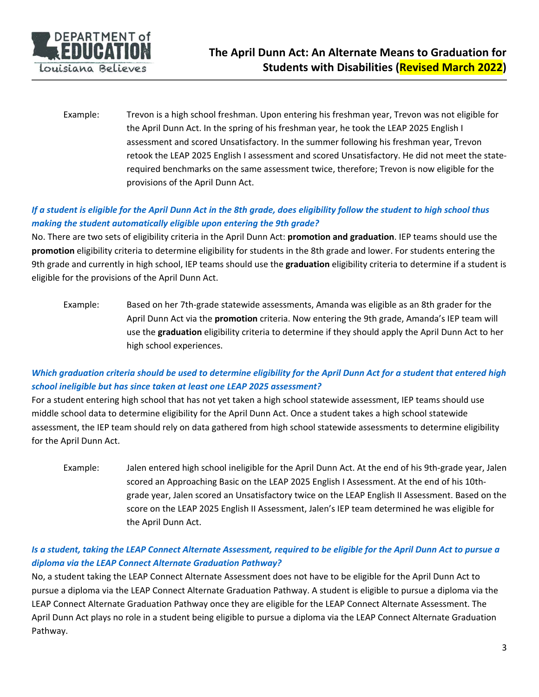

Example: Trevon is a high school freshman. Upon entering his freshman year, Trevon was not eligible for the April Dunn Act. In the spring of his freshman year, he took the LEAP 2025 English I assessment and scored Unsatisfactory. In the summer following his freshman year, Trevon retook the LEAP 2025 English I assessment and scored Unsatisfactory. He did not meet the state‐ required benchmarks on the same assessment twice, therefore; Trevon is now eligible for the provisions of the April Dunn Act.

# *If a student is eligible for the April Dunn Act in the 8th grade, does eligibility follow the student to high school thus making the student automatically eligible upon entering the 9th grade?*

No. There are two sets of eligibility criteria in the April Dunn Act: **promotion and graduation**. IEP teams should use the **promotion** eligibility criteria to determine eligibility for students in the 8th grade and lower. For students entering the 9th grade and currently in high school, IEP teams should use the **graduation** eligibility criteria to determine if a student is eligible for the provisions of the April Dunn Act.

Example: Based on her 7th‐grade statewide assessments, Amanda was eligible as an 8th grader for the April Dunn Act via the **promotion** criteria. Now entering the 9th grade, Amanda's IEP team will use the **graduation** eligibility criteria to determine if they should apply the April Dunn Act to her high school experiences.

# *Which graduation criteria should be used to determine eligibility for the April Dunn Act for a student that entered high school ineligible but has since taken at least one LEAP 2025 assessment?*

For a student entering high school that has not yet taken a high school statewide assessment, IEP teams should use middle school data to determine eligibility for the April Dunn Act. Once a student takes a high school statewide assessment, the IEP team should rely on data gathered from high school statewide assessments to determine eligibility for the April Dunn Act.

Example: Jalen entered high school ineligible for the April Dunn Act. At the end of his 9th‐grade year, Jalen scored an Approaching Basic on the LEAP 2025 English I Assessment. At the end of his 10th‐ grade year, Jalen scored an Unsatisfactory twice on the LEAP English II Assessment. Based on the score on the LEAP 2025 English II Assessment, Jalen's IEP team determined he was eligible for the April Dunn Act.

### *Is a student, taking the LEAP Connect Alternate Assessment, required to be eligible for the April Dunn Act to pursue a diploma via the LEAP Connect Alternate Graduation Pathway?*

No, a student taking the LEAP Connect Alternate Assessment does not have to be eligible for the April Dunn Act to pursue a diploma via the LEAP Connect Alternate Graduation Pathway. A student is eligible to pursue a diploma via the LEAP Connect Alternate Graduation Pathway once they are eligible for the LEAP Connect Alternate Assessment. The April Dunn Act plays no role in a student being eligible to pursue a diploma via the LEAP Connect Alternate Graduation Pathway.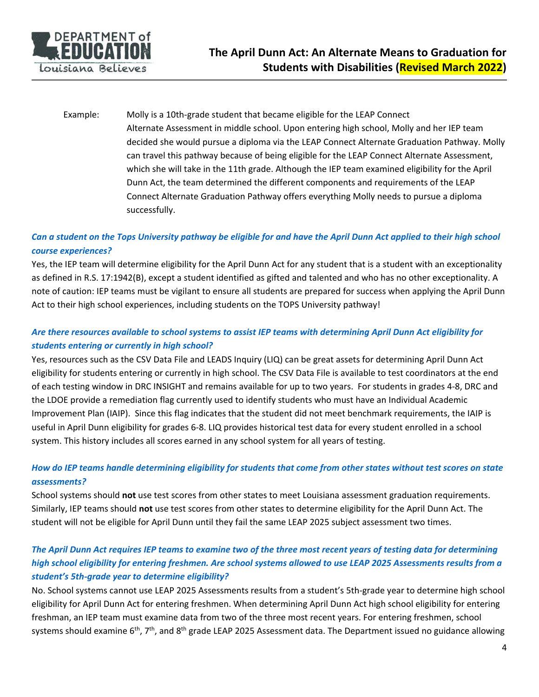

Example: Molly is a 10th‐grade student that became eligible for the LEAP Connect Alternate Assessment in middle school. Upon entering high school, Molly and her IEP team decided she would pursue a diploma via the LEAP Connect Alternate Graduation Pathway. Molly can travel this pathway because of being eligible for the LEAP Connect Alternate Assessment, which she will take in the 11th grade. Although the IEP team examined eligibility for the April Dunn Act, the team determined the different components and requirements of the LEAP Connect Alternate Graduation Pathway offers everything Molly needs to pursue a diploma successfully.

### *Can a student on the Tops University pathway be eligible for and have the April Dunn Act applied to their high school course experiences?*

Yes, the IEP team will determine eligibility for the April Dunn Act for any student that is a student with an exceptionality as defined in R.S. 17:1942(B), except a student identified as gifted and talented and who has no other exceptionality. A note of caution: IEP teams must be vigilant to ensure all students are prepared for success when applying the April Dunn Act to their high school experiences, including students on the TOPS University pathway!

# *Are there resources available to school systems to assist IEP teams with determining April Dunn Act eligibility for students entering or currently in high school?*

Yes, resources such as the CSV Data File and LEADS Inquiry (LIQ) can be great assets for determining April Dunn Act eligibility for students entering or currently in high school. The CSV Data File is available to test coordinators at the end of each testing window in DRC INSIGHT and remains available for up to two years. For students in grades 4‐8, DRC and the LDOE provide a remediation flag currently used to identify students who must have an Individual Academic Improvement Plan (IAIP). Since this flag indicates that the student did not meet benchmark requirements, the IAIP is useful in April Dunn eligibility for grades 6‐8. LIQ provides historical test data for every student enrolled in a school system. This history includes all scores earned in any school system for all years of testing.

### *How do IEP teams handle determining eligibility for students that come from other states without test scores on state assessments?*

School systems should **not** use test scores from other states to meet Louisiana assessment graduation requirements. Similarly, IEP teams should **not** use test scores from other states to determine eligibility for the April Dunn Act. The student will not be eligible for April Dunn until they fail the same LEAP 2025 subject assessment two times.

# *The April Dunn Act requires IEP teams to examine two of the three most recent years of testing data for determining high school eligibility for entering freshmen. Are school systems allowed to use LEAP 2025 Assessments results from a student's 5th‐grade year to determine eligibility?*

No. School systems cannot use LEAP 2025 Assessments results from a student's 5th‐grade year to determine high school eligibility for April Dunn Act for entering freshmen. When determining April Dunn Act high school eligibility for entering freshman, an IEP team must examine data from two of the three most recent years. For entering freshmen, school systems should examine  $6^{th}$ , 7<sup>th</sup>, and  $8^{th}$  grade LEAP 2025 Assessment data. The Department issued no guidance allowing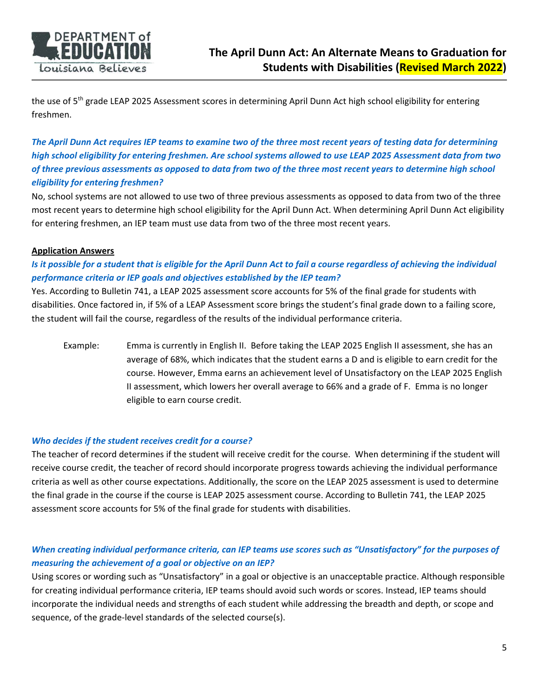

the use of 5<sup>th</sup> grade LEAP 2025 Assessment scores in determining April Dunn Act high school eligibility for entering freshmen.

*The April Dunn Act requires IEP teams to examine two of the three most recent years of testing data for determining high school eligibility for entering freshmen. Are school systems allowed to use LEAP 2025 Assessment data from two of three previous assessments as opposed to data from two of the three most recent years to determine high school eligibility for entering freshmen?* 

No, school systems are not allowed to use two of three previous assessments as opposed to data from two of the three most recent years to determine high school eligibility for the April Dunn Act. When determining April Dunn Act eligibility for entering freshmen, an IEP team must use data from two of the three most recent years.

#### **Application Answers**

# *Is it possible for a student that is eligible for the April Dunn Act to fail a course regardless of achieving the individual performance criteria or IEP goals and objectives established by the IEP team?*

Yes. According to Bulletin 741, a LEAP 2025 assessment score accounts for 5% of the final grade for students with disabilities. Once factored in, if 5% of a LEAP Assessment score brings the student's final grade down to a failing score, the student will fail the course, regardless of the results of the individual performance criteria.

Example: Emma is currently in English II. Before taking the LEAP 2025 English II assessment, she has an average of 68%, which indicates that the student earns a D and is eligible to earn credit for the course. However, Emma earns an achievement level of Unsatisfactory on the LEAP 2025 English II assessment, which lowers her overall average to 66% and a grade of F. Emma is no longer eligible to earn course credit.

#### *Who decides if the student receives credit for a course?*

The teacher of record determines if the student will receive credit for the course. When determining if the student will receive course credit, the teacher of record should incorporate progress towards achieving the individual performance criteria as well as other course expectations. Additionally, the score on the LEAP 2025 assessment is used to determine the final grade in the course if the course is LEAP 2025 assessment course. According to Bulletin 741, the LEAP 2025 assessment score accounts for 5% of the final grade for students with disabilities.

### *When creating individual performance criteria, can IEP teams use scores such as "Unsatisfactory" for the purposes of measuring the achievement of a goal or objective on an IEP?*

Using scores or wording such as "Unsatisfactory" in a goal or objective is an unacceptable practice. Although responsible for creating individual performance criteria, IEP teams should avoid such words or scores. Instead, IEP teams should incorporate the individual needs and strengths of each student while addressing the breadth and depth, or scope and sequence, of the grade-level standards of the selected course(s).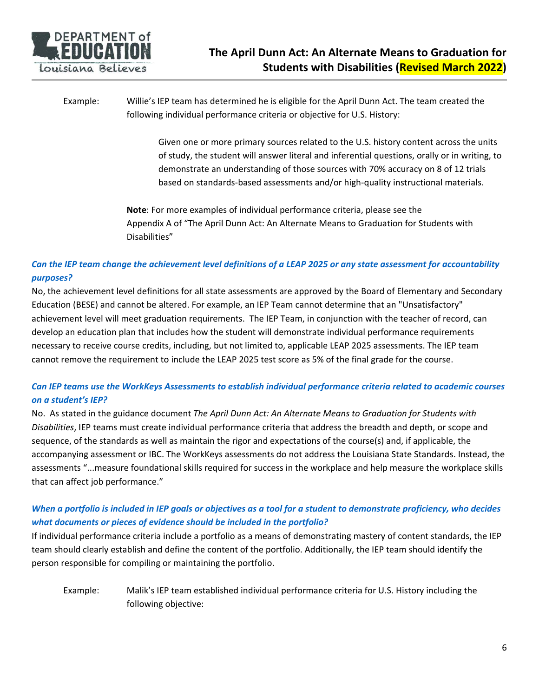

Example: Willie's IEP team has determined he is eligible for the April Dunn Act. The team created the following individual performance criteria or objective for U.S. History:

> Given one or more primary sources related to the U.S. history content across the units of study, the student will answer literal and inferential questions, orally or in writing, to demonstrate an understanding of those sources with 70% accuracy on 8 of 12 trials based on standards‐based assessments and/or high‐quality instructional materials.

**Note**: For more examples of individual performance criteria, please see the Appendix A of "The April Dunn Act: An Alternate Means to Graduation for Students with Disabilities"

### *Can the IEP team change the achievement level definitions of a LEAP 2025 or any state assessment for accountability purposes?*

No, the achievement level definitions for all state assessments are approved by the Board of Elementary and Secondary Education (BESE) and cannot be altered. For example, an IEP Team cannot determine that an "Unsatisfactory" achievement level will meet graduation requirements. The IEP Team, in conjunction with the teacher of record, can develop an education plan that includes how the student will demonstrate individual performance requirements necessary to receive course credits, including, but not limited to, applicable LEAP 2025 assessments. The IEP team cannot remove the requirement to include the LEAP 2025 test score as 5% of the final grade for the course.

### *Can IEP teams use the WorkKeys Assessments to establish individual performance criteria related to academic courses on a student's IEP?*

No. As stated in the guidance document *The April Dunn Act: An Alternate Means to Graduation for Students with Disabilities*, IEP teams must create individual performance criteria that address the breadth and depth, or scope and sequence, of the standards as well as maintain the rigor and expectations of the course(s) and, if applicable, the accompanying assessment or IBC. The WorkKeys assessments do not address the Louisiana State Standards. Instead, the assessments "...measure foundational skills required for success in the workplace and help measure the workplace skills that can affect job performance."

### *When a portfolio is included in IEP goals or objectives as a tool for a student to demonstrate proficiency, who decides what documents or pieces of evidence should be included in the portfolio?*

If individual performance criteria include a portfolio as a means of demonstrating mastery of content standards, the IEP team should clearly establish and define the content of the portfolio. Additionally, the IEP team should identify the person responsible for compiling or maintaining the portfolio.

Example: Malik's IEP team established individual performance criteria for U.S. History including the following objective: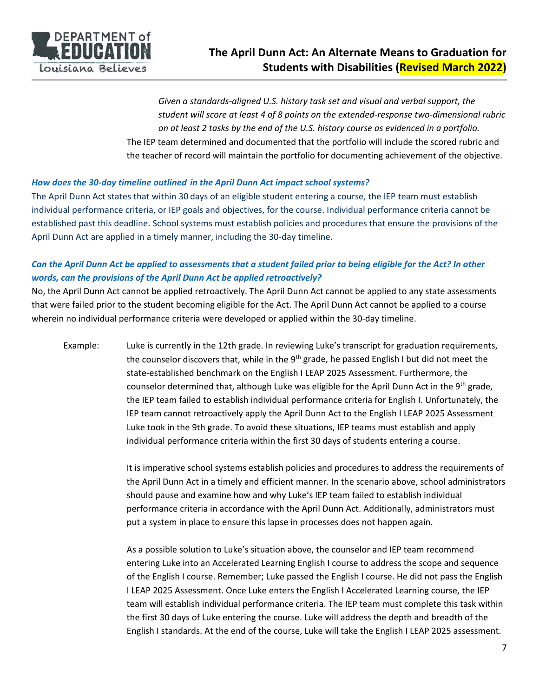

*Given a standards‐aligned U.S. history task set and visual and verbal support, the student will score at least 4 of 8 points on the extended‐response two‐dimensional rubric on at least 2 tasks by the end of the U.S. history course as evidenced in a portfolio.*  The IEP team determined and documented that the portfolio will include the scored rubric and the teacher of record will maintain the portfolio for documenting achievement of the objective.

#### *How does the 30‐day timeline outlined in the April Dunn Act impact school systems?*

The April Dunn Act states that within 30 days of an eligible student entering a course, the IEP team must establish individual performance criteria, or IEP goals and objectives, for the course. Individual performance criteria cannot be established past this deadline. School systems must establish policies and procedures that ensure the provisions of the April Dunn Act are applied in a timely manner, including the 30‐day timeline.

# *Can the April Dunn Act be applied to assessments that a student failed prior to being eligible for the Act? In other words, can the provisions of the April Dunn Act be applied retroactively?*

No, the April Dunn Act cannot be applied retroactively. The April Dunn Act cannot be applied to any state assessments that were failed prior to the student becoming eligible for the Act. The April Dunn Act cannot be applied to a course wherein no individual performance criteria were developed or applied within the 30‐day timeline.

Example: Luke is currently in the 12th grade. In reviewing Luke's transcript for graduation requirements, the counselor discovers that, while in the  $9<sup>th</sup>$  grade, he passed English I but did not meet the state‐established benchmark on the English I LEAP 2025 Assessment. Furthermore, the counselor determined that, although Luke was eligible for the April Dunn Act in the 9<sup>th</sup> grade, the IEP team failed to establish individual performance criteria for English I. Unfortunately, the IEP team cannot retroactively apply the April Dunn Act to the English I LEAP 2025 Assessment Luke took in the 9th grade. To avoid these situations, IEP teams must establish and apply individual performance criteria within the first 30 days of students entering a course.

> It is imperative school systems establish policies and procedures to address the requirements of the April Dunn Act in a timely and efficient manner. In the scenario above, school administrators should pause and examine how and why Luke's IEP team failed to establish individual performance criteria in accordance with the April Dunn Act. Additionally, administrators must put a system in place to ensure this lapse in processes does not happen again.

> As a possible solution to Luke's situation above, the counselor and IEP team recommend entering Luke into an Accelerated Learning English I course to address the scope and sequence of the English I course. Remember; Luke passed the English I course. He did not pass the English I LEAP 2025 Assessment. Once Luke enters the English I Accelerated Learning course, the IEP team will establish individual performance criteria. The IEP team must complete this task within the first 30 days of Luke entering the course. Luke will address the depth and breadth of the English I standards. At the end of the course, Luke will take the English I LEAP 2025 assessment.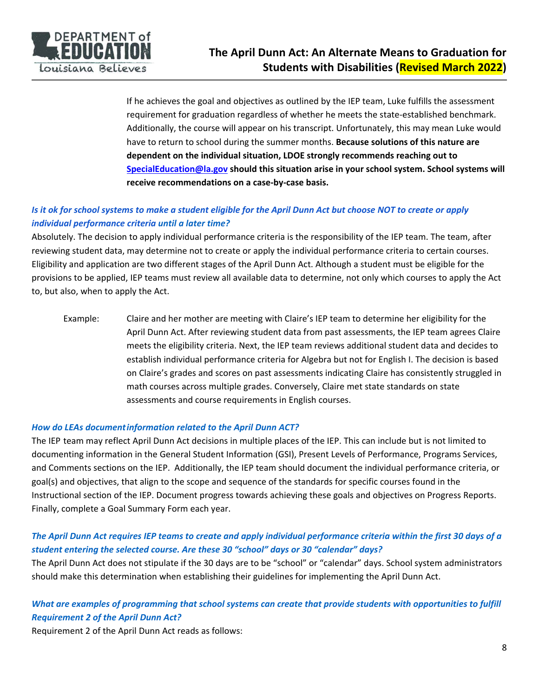

If he achieves the goal and objectives as outlined by the IEP team, Luke fulfills the assessment requirement for graduation regardless of whether he meets the state-established benchmark. Additionally, the course will appear on his transcript. Unfortunately, this may mean Luke would have to return to school during the summer months. **Because solutions of this nature are dependent on the individual situation, LDOE strongly recommends reaching out to SpecialEducation@la.gov should this situation arise in your school system. School systems will receive recommendations on a case‐by‐case basis.** 

# *Is it ok for school systems to make a student eligible for the April Dunn Act but choose NOT to create or apply individual performance criteria until a later time?*

Absolutely. The decision to apply individual performance criteria is the responsibility of the IEP team. The team, after reviewing student data, may determine not to create or apply the individual performance criteria to certain courses. Eligibility and application are two different stages of the April Dunn Act. Although a student must be eligible for the provisions to be applied, IEP teams must review all available data to determine, not only which courses to apply the Act to, but also, when to apply the Act.

Example: Claire and her mother are meeting with Claire's IEP team to determine her eligibility for the April Dunn Act. After reviewing student data from past assessments, the IEP team agrees Claire meets the eligibility criteria. Next, the IEP team reviews additional student data and decides to establish individual performance criteria for Algebra but not for English I. The decision is based on Claire's grades and scores on past assessments indicating Claire has consistently struggled in math courses across multiple grades. Conversely, Claire met state standards on state assessments and course requirements in English courses.

#### *How do LEAs document information related to the April Dunn ACT?*

The IEP team may reflect April Dunn Act decisions in multiple places of the IEP. This can include but is not limited to documenting information in the General Student Information (GSI), Present Levels of Performance, Programs Services, and Comments sections on the IEP. Additionally, the IEP team should document the individual performance criteria, or goal(s) and objectives, that align to the scope and sequence of the standards for specific courses found in the Instructional section of the IEP. Document progress towards achieving these goals and objectives on Progress Reports. Finally, complete a Goal Summary Form each year.

### *The April Dunn Act requires IEP teams to create and apply individual performance criteria within the first 30 days of a student entering the selected course. Are these 30 "school" days or 30 "calendar" days?*

The April Dunn Act does not stipulate if the 30 days are to be "school" or "calendar" days. School system administrators should make this determination when establishing their guidelines for implementing the April Dunn Act.

### *What are examples of programming that school systems can create that provide students with opportunities to fulfill Requirement 2 of the April Dunn Act?*

Requirement 2 of the April Dunn Act reads as follows: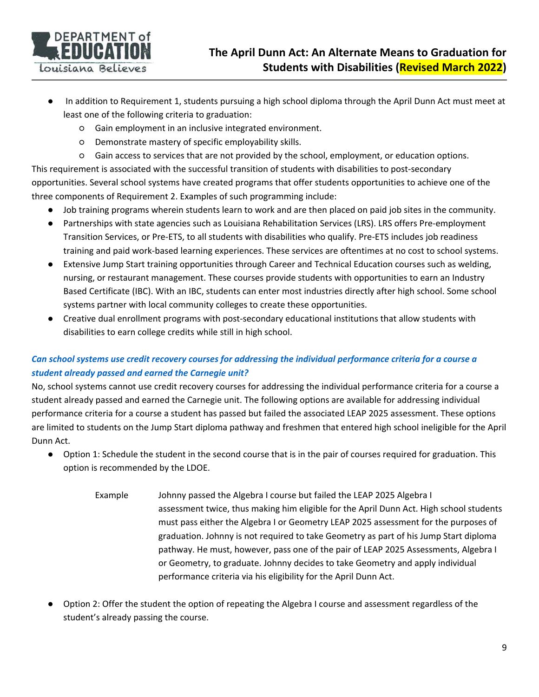

- In addition to Requirement 1, students pursuing a high school diploma through the April Dunn Act must meet at least one of the following criteria to graduation:
	- Gain employment in an inclusive integrated environment.
	- Demonstrate mastery of specific employability skills.
	- Gain access to services that are not provided by the school, employment, or education options.

This requirement is associated with the successful transition of students with disabilities to post‐secondary opportunities. Several school systems have created programs that offer students opportunities to achieve one of the three components of Requirement 2. Examples of such programming include:

- Job training programs wherein students learn to work and are then placed on paid job sites in the community.
- Partnerships with state agencies such as Louisiana Rehabilitation Services (LRS). LRS offers Pre-employment Transition Services, or Pre‐ETS, to all students with disabilities who qualify. Pre‐ETS includes job readiness training and paid work‐based learning experiences. These services are oftentimes at no cost to school systems.
- Extensive Jump Start training opportunities through Career and Technical Education courses such as welding, nursing, or restaurant management. These courses provide students with opportunities to earn an Industry Based Certificate (IBC). With an IBC, students can enter most industries directly after high school. Some school systems partner with local community colleges to create these opportunities.
- Creative dual enrollment programs with post-secondary educational institutions that allow students with disabilities to earn college credits while still in high school.

# *Can school systems use credit recovery courses for addressing the individual performance criteria for a course a student already passed and earned the Carnegie unit?*

No, school systems cannot use credit recovery courses for addressing the individual performance criteria for a course a student already passed and earned the Carnegie unit. The following options are available for addressing individual performance criteria for a course a student has passed but failed the associated LEAP 2025 assessment. These options are limited to students on the Jump Start diploma pathway and freshmen that entered high school ineligible for the April Dunn Act.

- Option 1: Schedule the student in the second course that is in the pair of courses required for graduation. This option is recommended by the LDOE.
	- Example Johnny passed the Algebra I course but failed the LEAP 2025 Algebra I assessment twice, thus making him eligible for the April Dunn Act. High school students must pass either the Algebra I or Geometry LEAP 2025 assessment for the purposes of graduation. Johnny is not required to take Geometry as part of his Jump Start diploma pathway. He must, however, pass one of the pair of LEAP 2025 Assessments, Algebra I or Geometry, to graduate. Johnny decides to take Geometry and apply individual performance criteria via his eligibility for the April Dunn Act.
- Option 2: Offer the student the option of repeating the Algebra I course and assessment regardless of the student's already passing the course.